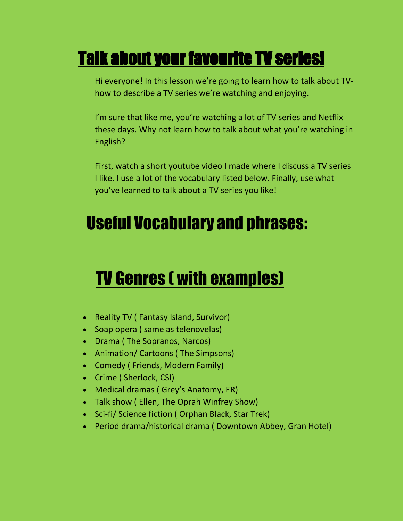#### Talk about your favourite TV series!

Hi everyone! In this lesson we're going to learn how to talk about TVhow to describe a TV series we're watching and enjoying.

I'm sure that like me, you're watching a lot of TV series and Netflix these days. Why not learn how to talk about what you're watching in English?

First, watch a short youtube video I made where I discuss a TV series I like. I use a lot of the vocabulary listed below. Finally, use what you've learned to talk about a TV series you like!

#### Useful Vocabulary and phrases:

#### TV Genres ( with examples)

- Reality TV ( Fantasy Island, Survivor)
- Soap opera ( same as telenovelas)
- Drama (The Sopranos, Narcos)
- Animation/ Cartoons (The Simpsons)
- Comedy (Friends, Modern Family)
- Crime ( Sherlock, CSI)
- Medical dramas ( Grey's Anatomy, ER)
- Talk show ( Ellen, The Oprah Winfrey Show)
- Sci-fi/ Science fiction ( Orphan Black, Star Trek)
- Period drama/historical drama ( Downtown Abbey, Gran Hotel)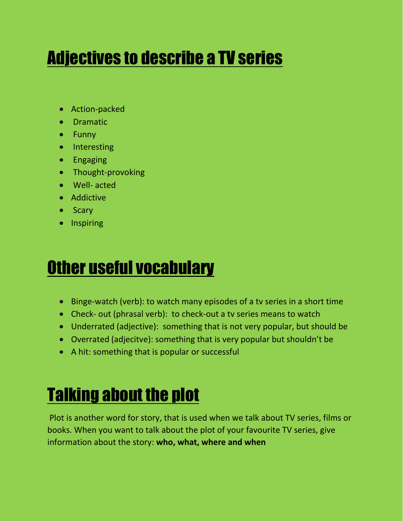## Adjectives to describe a TV series

- Action-packed
- **•** Dramatic
- Funny
- Interesting
- **•** Engaging
- Thought-provoking
- Well- acted
- Addictive
- Scary
- Inspiring

### Other useful vocabulary

- Binge-watch (verb): to watch many episodes of a tv series in a short time
- Check- out (phrasal verb): to check-out a tv series means to watch
- Underrated (adjective): something that is not very popular, but should be
- Overrated (adjecitve): something that is very popular but shouldn't be
- A hit: something that is popular or successful

# Talking about the plot

Plot is another word for story, that is used when we talk about TV series, films or books. When you want to talk about the plot of your favourite TV series, give information about the story: **who, what, where and when**